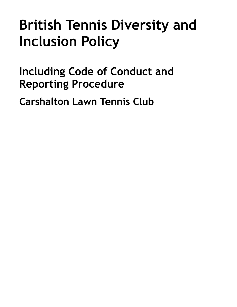# **British Tennis Diversity and Inclusion Policy**

<span id="page-0-0"></span>**Including Code of Conduct and Reporting Procedure** 

**Carshalton Lawn Tennis Club**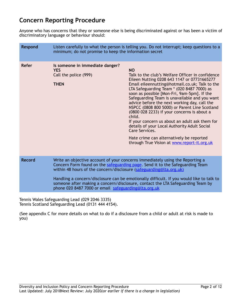# **Concern Reporting Procedure**

Anyone who has concerns that they or someone else is being discriminated against or has been a victim of discriminatory language or behaviour should:

| <b>Respond</b> | Listen carefully to what the person is telling you. Do not interrupt; keep questions to a<br>minimum; do not promise to keep the information secret                                                                                                                                                                                                                                                                                                                          |                                                                                                                                                                                                                                                                                                                                                                                                                                                                                                                                                                                                                                                                                       |
|----------------|------------------------------------------------------------------------------------------------------------------------------------------------------------------------------------------------------------------------------------------------------------------------------------------------------------------------------------------------------------------------------------------------------------------------------------------------------------------------------|---------------------------------------------------------------------------------------------------------------------------------------------------------------------------------------------------------------------------------------------------------------------------------------------------------------------------------------------------------------------------------------------------------------------------------------------------------------------------------------------------------------------------------------------------------------------------------------------------------------------------------------------------------------------------------------|
| <b>Refer</b>   | Is someone in immediate danger?<br><b>YES</b><br>Call the police (999)<br><b>THEN</b>                                                                                                                                                                                                                                                                                                                                                                                        | <b>NO</b><br>Talk to the club's Welfare Officer in confidence<br>Eileen Nutting 0208 643 1147 or 07731665277<br>Email eileennutting@hotmail.co.uk; Talk to the<br>LTA Safeguarding Team * (020 8487 7000) as<br>soon as possible [Mon-Fri, 9am-5pm]. If the<br>Safeguarding Team is unavailable and you want<br>advice before the next working day, call the<br>NSPCC (0808 800 5000) or Parent Line Scotland<br>(0800 028 2233) if your concerns is about a<br>child.<br>If your concern us about an adult ask them for<br>details of your Local Authority Adult Social<br>Care Services.<br>Hate crime can alternatively be reported<br>through True Vision at www.report-it.org.uk |
| <b>Record</b>  | Write an objective account of your concerns immediately using the Reporting a<br>Concern Form found on the safeguarding page. Send it to the Safeguarding Team<br>within 48 hours of the concern/disclosure (safeguarding@lta.org.uk)<br>Handling a concern/disclosure can be emotionally difficult. If you would like to talk to<br>someone after making a concern/disclosure, contact the LTA Safeguarding Team by<br>phone 020 8487 7000 or email safeguarding@lta.org.uk |                                                                                                                                                                                                                                                                                                                                                                                                                                                                                                                                                                                                                                                                                       |

Tennis Wales Safeguarding Lead (029 2046 3335) Tennis Scotland Safeguarding Lead (0131 444 4154).

(See appendix C for more details on what to do if a disclosure from a child or adult at risk is made to you)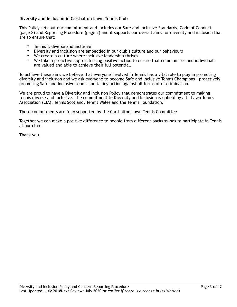# **Diversity and Inclusion in Carshalton Lawn Tennis Club**

This Policy sets out our commitment and includes our Safe and Inclusive Standards, Code of Conduct (page 8) and Reporting Procedure (page 2) and it supports our overall aims for diversity and inclusion that are to ensure that:

- Tennis is diverse and inclusive
- Diversity and inclusion are embedded in our club's culture and our behaviours
- We create a culture where inclusive leadership thrives
- We take a proactive approach using positive action to ensure that communities and individuals are valued and able to achieve their full potential.

To achieve these aims we believe that everyone involved in Tennis has a vital role to play in promoting diversity and inclusion and we ask everyone to become Safe and Inclusive Tennis Champions – proactively promoting Safe and Inclusive tennis and taking action against all forms of discrimination.

We are proud to have a Diversity and Inclusion Policy that demonstrates our commitment to making tennis diverse and inclusive. The commitment to Diversity and Inclusion is upheld by all - Lawn Tennis Association (LTA), Tennis Scotland, Tennis Wales and the Tennis Foundation.

These commitments are fully supported by the Carshalton Lawn Tennis Committee.

Together we can make a positive difference to people from different backgrounds to participate in Tennis at our club.

Thank you.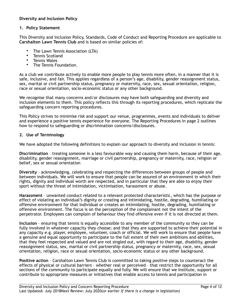## **Diversity and Inclusion Policy**

#### **1. Policy Statement**

This Diversity and Inclusion Policy, Standards, Code of Conduct and Reporting Procedure are applicable to **Carshalton Lawn Tennis Club** and is based on similar policies of:

- The Lawn Tennis Association (LTA)
- Tennis Scotland
- Tennis Wales
- The Tennis Foundation.

As a club we contribute actively to enable more people to play tennis more often, in a manner that it is safe, inclusive, and fair. This applies regardless of a person's age, disability, gender reassignment status, sex, marital or civil partnership status, pregnancy or maternity, race, sex, sexual orientation, religion, race or sexual orientation, socio-economic status or any other background.

We recognise that many concerns and/or disclosures may have both safeguarding and diversity and inclusion elements to them. This policy reflects this through its reporting procedures, which replicate the safeguarding concern reporting procedures.

This Policy strives to minimise risk and support our venue, programmes, events and individuals to deliver and experience a positive tennis experience for everyone. The Reporting Procedures in page 2 outlines how to respond to safeguarding or discrimination concerns/disclosures.

#### **2. Use of Terminology**

We have adopted the following definitions to explain our approach to diversity and inclusion in tennis:

**Discrimination** – treating someone in a less favourable way and causing them harm, because of their age, disability, gender reassignment, marriage or civil partnership, pregnancy or maternity, race, religion or belief, sex or sexual orientation

**Diversity** – acknowledging, celebrating and respecting the differences between groups of people and between individuals. We will work to ensure that people can be assured of an environment in which their rights, dignity and individual worth are respected, and in particular that they are able to enjoy their sport without the threat of intimidation, victimisation, harassment or abuse.

**Harassment** – unwanted conduct related to a relevant protected characteristic, which has the purpose or effect of violating an individual's dignity or creating and intimidating, hostile, degrading, humiliating or offensive environment for that individual or creates an intimidating, hostile, degrading, humiliating or offensive environment. The focus is on the perception of the complainant not the intent of the perpetrator. Employees can complain of behaviour they find offensive even if it is not directed at them.

**Inclusion** – ensuring that tennis is equally accessible to any member of the community so they can be fully involved in whatever capacity they choose; and that they are supported to achieve their potential in any capacity e.g. player, employee, volunteer, coach or official. We will work to ensure that people have a genuine and equal opportunity to participate to the full extent of their own ambitions and abilities, that they feel respected and valued and are not singled out, with regard to their age, disability, gender reassignment status, sex, marital or civil partnership status, pregnancy or maternity, race, sex, sexual orientation, religion, race or sexual orientation, socio-economic status or any other background.

**Positive action** – Carshalton Lawn Tennis Club is committed to taking positive steps to counteract the effects of physical or cultural barriers – whether real or perceived – that restrict the opportunity for all sections of the community to participate equally and fully. We will ensure that we institute, support or contribute to appropriate measures or initiatives that enable access to tennis and participation in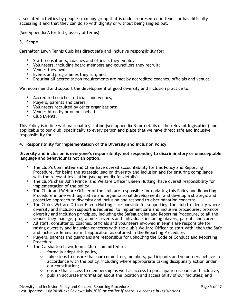associated activities by people from any group that is under-represented in tennis or has difficulty accessing it and that they can do so with dignity or without being singled out.

(See Appendix A for full glossary of terms)

#### **3. Scope**

Carshalton Lawn Tennis Club has direct safe and inclusive responsibility for:

- Staff, consultants, coaches and officials they employ;
- Volunteers, including board members and councillors they recruit;
- Venues they own;
- Events and programmes they run; and
- Ensuring all accreditation requirements are met by accredited coaches, officials and venues.

We recommend and support the development of good diversity and inclusion practice to:

- Accredited coaches, officials and venues;
- Players, parents and carers;
- Volunteers recruited by other organisations;
- Venues hired by or on our behalf
- Club Events.

This Policy is in line with national legislation (see appendix B for details of the relevant legislation) and applicable to our club, specifically to every person and place that we have direct safe and inclusive responsibility for.

#### **4. Responsibility for implementation of the Diversity and Inclusion Policy**

#### **Diversity and inclusion is everyone's responsibility: not responding to discriminatory or unacceptable language and behaviour is not an option.**

- The club's Committee and Chair have overall accountability for this Policy and Reporting Procedure, for being the strategic lead on diversity and inclusion and for ensuring compliance with the relevant legislation (see Appendix for details).
- The club's chair John Prince and Welfare Officer Eileen Nutting have overall responsibility for implementation of the policy.
- The Chair and Welfare Officer of the club are responsible for updating this Policy and Reporting Procedure in line with legislative and organisational developments; and develop a strategic and proactive approach to diversity and inclusion and respond to discrimination concerns.
- The Club's Welfare Officer Eileen Nutting is responsible for supporting the club to identify where diversity and inclusion support is required; to implement safe and inclusive procedures; promote diversity and inclusion principles, including the Safeguarding and Reporting Procedure, to all the venues they manage, programmes, events and individuals including players, parents and carers.
- All staff, consultants, coaches, officials and volunteers involved in tennis are responsible for raising diversity and inclusion concerns with the club's Welfare Officer to start with; then the Safe and Inclusive Tennis team if applicable, as outlined in the Reporting Procedure.
- Players, parents and guardians are responsible for upholding the Code of Conduct and Reporting Procedure.
- The Carshalton Lawn Tennis Club committed to:
	- $\circ$  formally adopt this policy,
	- $\circ$  take steps to ensure that our committee, members, participants and volunteers behave in accordance with the policy, including where appropriate taking disciplinary action under our constitution;
	- $\circ$  ensure that access to membership as well as access to participation is open and inclusive;
	- $\circ$  publish accurate information about the location and accessibility of our facilities; and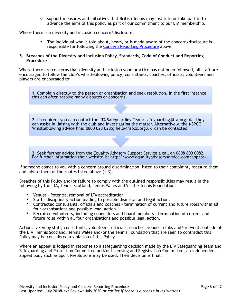$\circ$  support measures and initiatives that British Tennis may institute or take part in to advance the aims of this policy as part of our commitment to our LTA membership.

Where there is a diversity and inclusion concern/disclosure:

• The individual who is told about, hears, or is made aware of the concern/disclosure is responsible for following the [Concern Reporting Procedure](#page-0-0) above

#### **5. Breaches of the Diversity and Inclusion Policy, Standards, Code of Conduct and Reporting Procedure**

Where there are concerns that diversity and inclusion good practice has not been followed, all staff are encouraged to follow the club's whistleblowing policy; consultants, coaches, officials, volunteers and players are encouraged to:

1. Complain directly to the person or organisation and seek resolution. In the first instance, this can often resolve many disputes or concerns.

2. If required, you can contact the LTA Safeguarding Team: safeguarding@lta.org.uk - they can assist in liaising with the club and investigating the matter. Alternatively, the NSPCC Whistleblowing advice line: 0800 028 0285; help@nspcc.org.uk can be contacted.

3. Seek further advice from the Equality Advisory Support Service a call on 0808 800 0082. For further information their website is: http://www.equalityadvisoryservice.com/app/ask

If someone comes to you with a concern around discrimination, listen to their complaint, reassure them and advise them of the routes listed above (1-3).

Breaches of this Policy and/or failure to comply with the outlined responsibilities may result in the following by the LTA, Tennis Scotland, Tennis Wales and/or the Tennis Foundation:

- Venues Potential removal of LTA accreditation
- Staff disciplinary action leading to possible dismissal and legal action.
- Contracted consultants, officials and coaches termination of current and future roles within all four organisations and possible legal action.
- Recruited volunteers, including councillors and board members termination of current and future roles within all four organisations and possible legal action.

Actions taken by staff, consultants, volunteers, officials, coaches, venues, clubs and/or events outside of the LTA, Tennis Scotland, Tennis Wales and/or the Tennis Foundation that are seen to contradict this Policy may be considered a violation of this Policy.

Where an appeal is lodged in response to a safeguarding decision made by the LTA Safeguarding Team and Safeguarding and Protection Committee and/or Licensing and Registration Committee, an independent appeal body such as Sport Resolutions may be used. Their decision is final.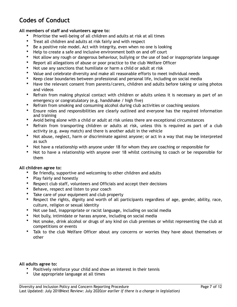# **Codes of Conduct**

# **All members of staff and volunteers agree to:**

- Prioritise the well-being of all children and adults at risk at all times
- Treat all children and adults at risk fairly and with respect
- Be a positive role model. Act with integrity, even when no one is looking
- Help to create a safe and inclusive environment both on and off court
- Not allow any rough or dangerous behaviour, bullying or the use of bad or inappropriate language
- Report all allegations of abuse or poor practice to the club Welfare Officer
- Not use any sanctions that humiliate or harm a child or adult at risk
- Value and celebrate diversity and make all reasonable efforts to meet individual needs
- Keep clear boundaries between professional and personal life, including on social media
- Have the relevant consent from parents/carers, children and adults before taking or using photos and videos
- Refrain from making physical contact with children or adults unless it is necessary as part of an emergency or congratulatory (e.g. handshake / high five)
- Refrain from smoking and consuming alcohol during club activities or coaching sessions
- Ensure roles and responsibilities are clearly outlined and everyone has the required information and training
- Avoid being alone with a child or adult at risk unless there are exceptional circumstances
- Refrain from transporting children or adults at risk, unless this is required as part of a club activity (e.g. away match) and there is another adult in the vehicle
- Not abuse, neglect, harm or discriminate against anyone; or act in a way that may be interpreted as such
- Not have a relationship with anyone under 18 for whom they are coaching or responsible for
- Not to have a relationship with anyone over 18 whilst continuing to coach or be responsible for them

# **All children agree to:**

- Be friendly, supportive and welcoming to other children and adults
- Play fairly and honestly
- Respect club staff, volunteers and Officials and accept their decisions
- Behave, respect and listen to your coach
- Take care of your equipment and club property
- Respect the rights, dignity and worth of all participants regardless of age, gender, ability, race, culture, religion or sexual identity
- Not use bad, inappropriate or racist language, including on social media
- Not bully, intimidate or harass anyone, including on social media
- Not smoke, drink alcohol or drugs of any kind on club premises or whilst representing the club at competitions or events
- Talk to the club Welfare Officer about any concerns or worries they have about themselves or other

#### **All adults agree to:**

- Positively reinforce your child and show an interest in their tennis
- Use appropriate language at all times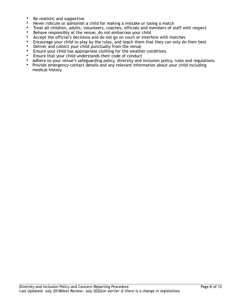- Be realistic and supportive
- Never ridicule or admonish a child for making a mistake or losing a match
- Treat all children, adults, volunteers, coaches, officials and members of staff with respect
- Behave responsibly at the venue; do not embarrass your child
- Accept the official's decisions and do not go on court or interfere with matches
- Encourage your child to play by the rules, and teach them that they can only do their best
- Deliver and collect your child punctually from the venue
- Ensure your child has appropriate clothing for the weather conditions
- Ensure that your child understands their code of conduct
- Adhere to your venue's safeguarding policy, diversity and inclusion policy, rules and regulations
- Provide emergency contact details and any relevant information about your child including medical history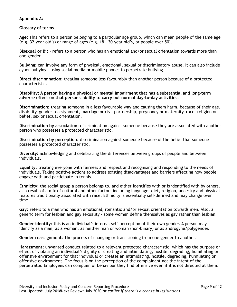# **Appendix A:**

## **Glossary of terms**

**Age:** This refers to a person belonging to a particular age group, which can mean people of the same age (e.g. 32-year old's) or range of ages (e.g. 18 - 30-year old's, or people over 50).

**Bisexual or Bi:** – refers to a person who has an emotional and/or sexual orientation towards more than one gender.

**Bullying:** can involve any form of physical, emotional, sexual or discriminatory abuse. It can also include cyber-bullying – using social media or mobile phones to perpetrate bullying.

**Direct discrimination:** treating someone less favourably than another person because of a protected characteristic.

**Disability: A person having a physical or mental impairment that has a substantial and long-term adverse effect on that person's ability to carry out normal day-to-day activities.** 

**Discrimination:** treating someone in a less favourable way and causing them harm, because of their age, disability, gender reassignment, marriage or civil partnership, pregnancy or maternity, race, religion or belief, sex or sexual orientation.

**Discrimination by association:** discrimination against someone because they are associated with another person who possesses a protected characteristic.

**Discrimination by perception:** discrimination against someone because of the belief that someone possesses a protected characteristic.

**Diversity:** acknowledging and celebrating the differences between groups of people and between individuals**.** 

**Equality**: treating everyone with fairness and respect and recognising and responding to the needs of individuals. Taking positive actions to address existing disadvantages and barriers affecting how people engage with and participate in tennis.

**Ethnicity**: the social group a person belongs to, and either identifies with or is identified with by others, as a result of a mix of cultural and other factors including language, diet, religion, ancestry and physical features traditionally associated with race. Ethnicity is essentially self-defined and may change over time.

**Gay**: refers to a man who has an emotional, romantic and/or sexual orientation towards men. Also, a generic term for lesbian and gay sexuality - some women define themselves as gay rather than lesbian.

**Gender identity: t**his is an individual's internal self-perception of their own gender. A person may identify as a man, as a woman, as neither man or woman (non-binary) or as androgyne/polygender.

**Gender reassignment**: The process of changing or transitioning from one gender to another.

**Harassment:** unwanted conduct related to a relevant protected characteristic, which has the purpose or effect of violating an individual's dignity or creating and intimidating, hostile, degrading, humiliating or offensive environment for that individual or creates an intimidating, hostile, degrading, humiliating or offensive environment. The focus is on the perception of the complainant not the intent of the perpetrator. Employees can complain of behaviour they find offensive even if it is not directed at them.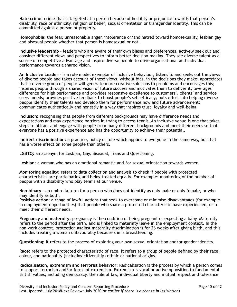**Hate crime:** crime that is targeted at a person because of hostility or prejudice towards that person's disability, race or ethnicity, religion or belief, sexual orientation or transgender identity. This can be committed against a person or property.

**Homophobia**: the fear, unreasonable anger, intolerance or/and hatred toward homosexuality, lesbian gay and bisexual people whether that person is homosexual or not.

**Inclusive leadership** – leaders who are aware of their own biases and preferences, actively seek out and consider different views and perspectives to inform better decision-making. They see diverse talent as a source of competitive advantage and inspire diverse people to drive organisational and individual performance towards a shared vision.

**An Inclusive Leader** – is a role model exemplar of inclusive behaviour; listens to and seeks out the views of diverse people and takes account of these views, without bias, in the decisions they make; appreciates that a diverse group of people will generate more creative solutions to problems and encourages this; inspires people through a shared vision of future success and motivates them to deliver it; leverages difference for high performance and provides responsive excellence to customers', clients' and service users' needs; provides positive feedback to boost people's self-efficacy; puts effort into helping diverse people identify their talents and develop them for performance now and future advancement; communicates authentically and honestly in a way that inspires trust, loyalty and well-being.

**Inclusion:** recognising that people from different backgrounds may have difference needs and expectations and may experience barriers in trying to access tennis. An inclusive venue is one that takes steps to attract and engage with people from many different backgrounds and meet their needs so that everyone has a positive experience and has the opportunity to achieve their potential.

**Indirect discrimination:** a practice, policy or rule which applies to everyone in the same way, but that has a worse effect on some people than others.

**LGBTQ:** an acronym for Lesbian, Gay, Bisexual, Trans and Questioning.

**Lesbian**: a woman who has an emotional romantic and /or sexual orientation towards women.

**Monitoring equality**: refers to data collection and analysis to check if people with protected characteristics are participating and being treated equally. For example: monitoring of the number of people with a disability who play tennis at our venue.

**Non-binary** – an umbrella term for a person who does not identify as only male or only female, or who may identify as both.

**Positive action:** a range of lawful actions that seek to overcome or minimise disadvantages (for example in employment opportunities) that people who share a protected characteristic have experienced, or to meet their different needs.

**Pregnancy and maternity**: pregnancy is the condition of being pregnant or expecting a baby. Maternity refers to the period after the birth, and is linked to maternity leave in the employment context. In the non-work context, protection against maternity discrimination is for 26 weeks after giving birth, and this includes treating a woman unfavourably because she is breastfeeding.

**Questioning**: it refers to the process of exploring your own sexual orientation and/or gender identity.

**Race:** refers to the protected characteristic of race. It refers to a group of people defined by their race, colour, and nationality (including citizenship) ethnic or national origins.

**Radicalisation, extremism and terrorist behavior**: Radicalisation is the process by which a person comes to support terrorism and/or forms of extremism. Extremism is vocal or active opposition to fundamental British values, including democracy, the rule of law, individual liberty and mutual respect and tolerance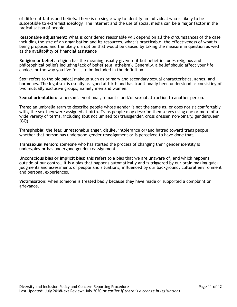of different faiths and beliefs. There is no single way to identify an individual who is likely to be susceptible to extremist ideology. The internet and the use of social media can be a major factor in the radicalisation of people.

**Reasonable adjustment**: What is considered reasonable will depend on all the circumstances of the case including the size of an organisation and its resources, what is practicable, the effectiveness of what is being proposed and the likely disruption that would be caused by taking the measure in question as well as the availability of financial assistance

**Religion or belief:** religion has the meaning usually given to it but belief includes religious and philosophical beliefs including lack of belief (e.g. atheism). Generally, a belief should affect your life choices or the way you live for it to be included in the definition.

**Sex:** refers to the biological makeup such as primary and secondary sexual characteristics, genes, and hormones. The legal sex is usually assigned at birth and has traditionally been understood as consisting of two mutually exclusive groups, namely men and women.

**Sexual orientation:** a person's emotional, romantic and/or sexual attraction to another person.

**Trans:** an umbrella term to describe people whose gender is not the same as, or does not sit comfortably with, the sex they were assigned at birth. Trans people may describe themselves using one or more of a wide variety of terms, including (but not limited to) transgender, cross dresser, non-binary, genderqueer (GQ).

**Transphobia**: the fear, unreasonable anger, dislike, intolerance or/and hatred toward trans people, whether that person has undergone gender reassignment or is perceived to have done that.

**Transsexual Person:** someone who has started the process of changing their gender identity is undergoing or has undergone gender reassignment.

**Unconscious bias or implicit bias:** this refers to a bias that we are unaware of, and which happens outside of our control. It is a bias that happens automatically and is triggered by our brain making quick judgments and assessments of people and situations, influenced by our background, cultural environment and personal experiences.

**Victimisation:** when someone is treated badly because they have made or supported a complaint or grievance.